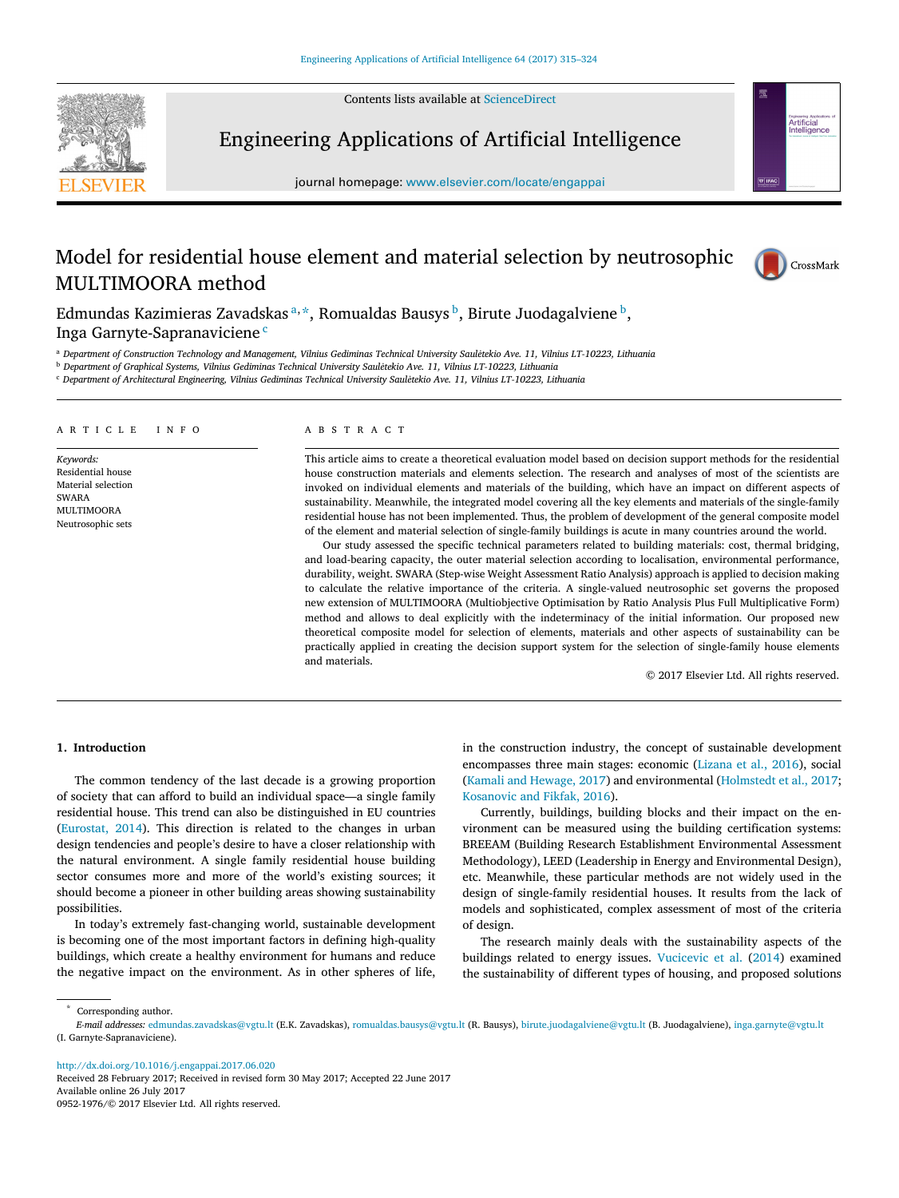Contents lists available at [ScienceDirect](http://www.elsevier.com/locate/engappai)



Engineering Applications of Artificial Intelligence

journal homepage: [www.elsevier.com/locate/engappai](http://www.elsevier.com/locate/engappai)

# Model for residential house element and material selection by neutrosophic MULTIMOORA method



Artificial<br>Intelligence

Edmundas Kazimieras Zavadskas <sup>[a,](#page-0-0) [\\*](#page-0-1)</sup>, Romualdas Bausys <sup>[b](#page-0-2)</sup>, Birute Juodagalviene <sup>b</sup>, Inga Garnyte-Sapranavi[c](#page-0-3)iene<sup>c</sup>

<span id="page-0-0"></span><sup>a</sup> *Department of Construction Technology and Management, Vilnius Gediminas Technical University Sauletekio Ave. 11, Vilnius LT-10223, Lithuania ˙*

<span id="page-0-2"></span><sup>b</sup> *Department of Graphical Systems, Vilnius Gediminas Technical University Sauletekio Ave. 11, Vilnius LT-10223, Lithuania ˙*

<span id="page-0-3"></span><sup>c</sup> *Department of Architectural Engineering, Vilnius Gediminas Technical University Sauletekio Ave. 11, Vilnius LT-10223, Lithuania ˙*

#### a r t i c l e i n f o

*Keywords:* Residential house Material selection SWARA MULTIMOORA Neutrosophic sets

## a b s t r a c t

This article aims to create a theoretical evaluation model based on decision support methods for the residential house construction materials and elements selection. The research and analyses of most of the scientists are invoked on individual elements and materials of the building, which have an impact on different aspects of sustainability. Meanwhile, the integrated model covering all the key elements and materials of the single-family residential house has not been implemented. Thus, the problem of development of the general composite model of the element and material selection of single-family buildings is acute in many countries around the world.

Our study assessed the specific technical parameters related to building materials: cost, thermal bridging, and load-bearing capacity, the outer material selection according to localisation, environmental performance, durability, weight. SWARA (Step-wise Weight Assessment Ratio Analysis) approach is applied to decision making to calculate the relative importance of the criteria. A single-valued neutrosophic set governs the proposed new extension of MULTIMOORA (Multiobjective Optimisation by Ratio Analysis Plus Full Multiplicative Form) method and allows to deal explicitly with the indeterminacy of the initial information. Our proposed new theoretical composite model for selection of elements, materials and other aspects of sustainability can be practically applied in creating the decision support system for the selection of single-family house elements and materials.

© 2017 Elsevier Ltd. All rights reserved.

# **1. Introduction**

The common tendency of the last decade is a growing proportion of society that can afford to build an individual space—a single family residential house. This trend can also be distinguished in EU countries [\(Eurostat,](#page-9-0) [2014\)](#page-9-0). This direction is related to the changes in urban design tendencies and people's desire to have a closer relationship with the natural environment. A single family residential house building sector consumes more and more of the world's existing sources; it should become a pioneer in other building areas showing sustainability possibilities.

In today's extremely fast-changing world, sustainable development is becoming one of the most important factors in defining high-quality buildings, which create a healthy environment for humans and reduce the negative impact on the environment. As in other spheres of life,

in the construction industry, the concept of sustainable development encompasses three main stages: economic [\(Lizana](#page-9-1) [et](#page-9-1) [al.,](#page-9-1) [2016\)](#page-9-1), social [\(Kamali](#page-9-2) [and](#page-9-2) [Hewage,](#page-9-2) [2017\)](#page-9-2) and environmental [\(Holmstedt](#page-9-3) [et](#page-9-3) [al.,](#page-9-3) [2017;](#page-9-3) [Kosanovic](#page-9-4) [and](#page-9-4) [Fikfak,](#page-9-4) [2016\)](#page-9-4).

Currently, buildings, building blocks and their impact on the environment can be measured using the building certification systems: BREEAM (Building Research Establishment Environmental Assessment Methodology), LEED (Leadership in Energy and Environmental Design), etc. Meanwhile, these particular methods are not widely used in the design of single-family residential houses. It results from the lack of models and sophisticated, complex assessment of most of the criteria of design.

The research mainly deals with the sustainability aspects of the buildings related to energy issues. [Vucicevic](#page-9-5) [et](#page-9-5) [al.](#page-9-5) [\(2014\)](#page-9-5) examined the sustainability of different types of housing, and proposed solutions

<span id="page-0-1"></span>Corresponding author.

*E-mail addresses:* [edmundas.zavadskas@vgtu.lt](mailto:edmundas.zavadskas@vgtu.lt) (E.K. Zavadskas), [romualdas.bausys@vgtu.lt](mailto:romualdas.bausys@vgtu.lt) (R. Bausys), [birute.juodagalviene@vgtu.lt](mailto:birute.juodagalviene@vgtu.lt) (B. Juodagalviene), [inga.garnyte@vgtu.lt](mailto:inga.garnyte@vgtu.lt) (I. Garnyte-Sapranaviciene).

<http://dx.doi.org/10.1016/j.engappai.2017.06.020>

Received 28 February 2017; Received in revised form 30 May 2017; Accepted 22 June 2017 Available online 26 July 2017 0952-1976/© 2017 Elsevier Ltd. All rights reserved.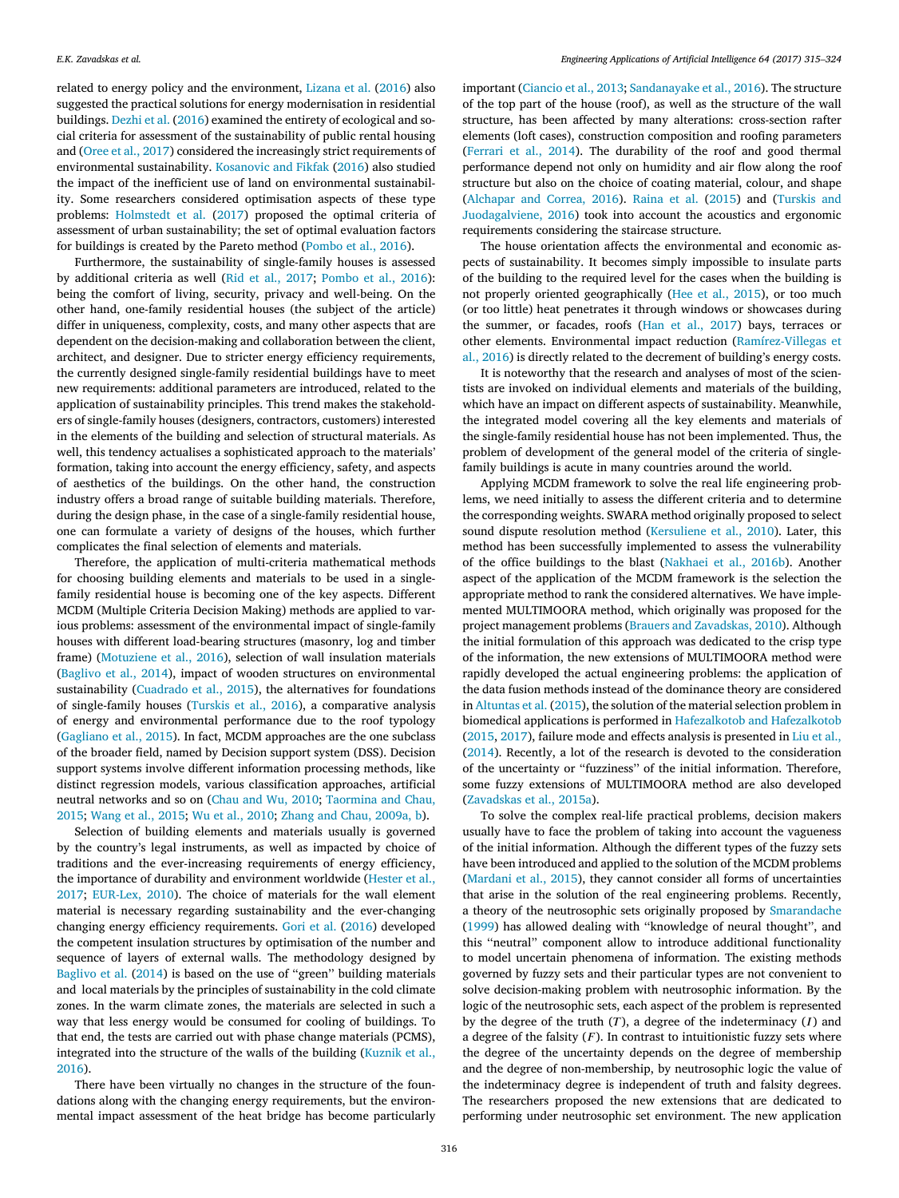related to energy policy and the environment, [Lizana](#page-9-1) [et](#page-9-1) [al.](#page-9-1) [\(2016\)](#page-9-1) also suggested the practical solutions for energy modernisation in residential buildings. [Dezhi](#page-9-6) [et](#page-9-6) [al.](#page-9-6) [\(2016\)](#page-9-6) examined the entirety of ecological and social criteria for assessment of the sustainability of public rental housing and [\(Oree](#page-9-7) [et](#page-9-7) [al.,](#page-9-7) [2017\)](#page-9-7) considered the increasingly strict requirements of environmental sustainability. [Kosanovic](#page-9-4) [and](#page-9-4) [Fikfak](#page-9-4) [\(2016\)](#page-9-4) also studied the impact of the inefficient use of land on environmental sustainability. Some researchers considered optimisation aspects of these type problems: [Holmstedt](#page-9-3) [et](#page-9-3) [al.](#page-9-3) [\(2017\)](#page-9-3) proposed the optimal criteria of assessment of urban sustainability; the set of optimal evaluation factors for buildings is created by the Pareto method [\(Pombo](#page-9-8) [et](#page-9-8) [al.,](#page-9-8) [2016\)](#page-9-8).

Furthermore, the sustainability of single-family houses is assessed by additional criteria as well [\(Rid](#page-9-9) [et](#page-9-9) [al.,](#page-9-9) [2017;](#page-9-9) [Pombo](#page-9-8) [et](#page-9-8) [al.,](#page-9-8) [2016\)](#page-9-8): being the comfort of living, security, privacy and well-being. On the other hand, one-family residential houses (the subject of the article) differ in uniqueness, complexity, costs, and many other aspects that are dependent on the decision-making and collaboration between the client, architect, and designer. Due to stricter energy efficiency requirements, the currently designed single-family residential buildings have to meet new requirements: additional parameters are introduced, related to the application of sustainability principles. This trend makes the stakeholders of single-family houses (designers, contractors, customers) interested in the elements of the building and selection of structural materials. As well, this tendency actualises a sophisticated approach to the materials' formation, taking into account the energy efficiency, safety, and aspects of aesthetics of the buildings. On the other hand, the construction industry offers a broad range of suitable building materials. Therefore, during the design phase, in the case of a single-family residential house, one can formulate a variety of designs of the houses, which further complicates the final selection of elements and materials.

Therefore, the application of multi-criteria mathematical methods for choosing building elements and materials to be used in a singlefamily residential house is becoming one of the key aspects. Different MCDM (Multiple Criteria Decision Making) methods are applied to various problems: assessment of the environmental impact of single-family houses with different load-bearing structures (masonry, log and timber frame) [\(Motuziene](#page-9-10) [et](#page-9-10) [al.,](#page-9-10) [2016\)](#page-9-10), selection of wall insulation materials [\(Baglivo](#page-8-0) [et](#page-8-0) [al.,](#page-8-0) [2014\)](#page-8-0), impact of wooden structures on environmental sustainability [\(Cuadrado](#page-8-1) [et](#page-8-1) [al.,](#page-8-1) [2015\)](#page-8-1), the alternatives for foundations of single-family houses [\(Turskis](#page-9-11) [et](#page-9-11) [al.,](#page-9-11) [2016\)](#page-9-11), a comparative analysis of energy and environmental performance due to the roof typology [\(Gagliano](#page-9-12) [et](#page-9-12) [al.,](#page-9-12) [2015\)](#page-9-12). In fact, MCDM approaches are the one subclass of the broader field, named by Decision support system (DSS). Decision support systems involve different information processing methods, like distinct regression models, various classification approaches, artificial neutral networks and so on [\(Chau](#page-8-2) [and](#page-8-2) [Wu,](#page-8-2) [2010;](#page-8-2) [Taormina](#page-9-13) [and](#page-9-13) [Chau,](#page-9-13) [2015;](#page-9-13) [Wang](#page-9-14) [et](#page-9-14) [al.,](#page-9-14) [2015;](#page-9-14) [Wu](#page-9-15) [et](#page-9-15) [al.,](#page-9-15) [2010;](#page-9-15) [Zhang](#page-9-16) [and](#page-9-16) [Chau,](#page-9-16) [2009a,](#page-9-16) [b\)](#page-9-16).

Selection of building elements and materials usually is governed by the country's legal instruments, as well as impacted by choice of traditions and the ever-increasing requirements of energy efficiency, the importance of durability and environment worldwide [\(Hester](#page-9-17) [et](#page-9-17) [al.,](#page-9-17) [2017;](#page-9-17) [EUR-Lex,](#page-9-18) [2010\)](#page-9-18). The choice of materials for the wall element material is necessary regarding sustainability and the ever-changing changing energy efficiency requirements. [Gori](#page-9-19) [et](#page-9-19) [al.](#page-9-19) [\(2016\)](#page-9-19) developed the competent insulation structures by optimisation of the number and sequence of layers of external walls. The methodology designed by [Baglivo](#page-8-0) [et](#page-8-0) [al.](#page-8-0) [\(2014\)](#page-8-0) is based on the use of ''green'' building materials and local materials by the principles of sustainability in the cold climate zones. In the warm climate zones, the materials are selected in such a way that less energy would be consumed for cooling of buildings. To that end, the tests are carried out with phase change materials (PCMS), integrated into the structure of the walls of the building [\(Kuznik](#page-9-20) [et](#page-9-20) [al.,](#page-9-20) [2016\)](#page-9-20).

There have been virtually no changes in the structure of the foundations along with the changing energy requirements, but the environmental impact assessment of the heat bridge has become particularly important [\(Ciancio](#page-8-3) [et](#page-8-3) [al.,](#page-8-3) [2013;](#page-8-3) [Sandanayake](#page-9-21) [et](#page-9-21) [al.,](#page-9-21) [2016\)](#page-9-21). The structure of the top part of the house (roof), as well as the structure of the wall structure, has been affected by many alterations: cross-section rafter elements (loft cases), construction composition and roofing parameters [\(Ferrari](#page-9-22) [et](#page-9-22) [al.,](#page-9-22) [2014\)](#page-9-22). The durability of the roof and good thermal performance depend not only on humidity and air flow along the roof structure but also on the choice of coating material, colour, and shape [\(Alchapar](#page-8-4) [and](#page-8-4) [Correa,](#page-8-4) [2016\)](#page-8-4). [Raina](#page-9-23) [et](#page-9-23) [al.](#page-9-23) [\(2015\)](#page-9-23) and [\(Turskis](#page-9-24) [and](#page-9-24) [Juodagalviene,](#page-9-24) [2016\)](#page-9-24) took into account the acoustics and ergonomic requirements considering the staircase structure.

The house orientation affects the environmental and economic aspects of sustainability. It becomes simply impossible to insulate parts of the building to the required level for the cases when the building is not properly oriented geographically [\(Hee](#page-9-25) [et](#page-9-25) [al.,](#page-9-25) [2015\)](#page-9-25), or too much (or too little) heat penetrates it through windows or showcases during the summer, or facades, roofs [\(Han](#page-9-26) [et](#page-9-26) [al.,](#page-9-26) [2017\)](#page-9-26) bays, terraces or other elements. Environmental impact reduction [\(Ramírez-Villegas](#page-9-27) [et](#page-9-27) [al.,](#page-9-27) [2016\)](#page-9-27) is directly related to the decrement of building's energy costs.

It is noteworthy that the research and analyses of most of the scientists are invoked on individual elements and materials of the building, which have an impact on different aspects of sustainability. Meanwhile, the integrated model covering all the key elements and materials of the single-family residential house has not been implemented. Thus, the problem of development of the general model of the criteria of singlefamily buildings is acute in many countries around the world.

Applying MCDM framework to solve the real life engineering problems, we need initially to assess the different criteria and to determine the corresponding weights. SWARA method originally proposed to select sound dispute resolution method [\(Kersuliene](#page-9-28) [et](#page-9-28) [al.,](#page-9-28) [2010\)](#page-9-28). Later, this method has been successfully implemented to assess the vulnerability of the office buildings to the blast [\(Nakhaei](#page-9-29) [et](#page-9-29) [al.,](#page-9-29) [2016b\)](#page-9-29). Another aspect of the application of the MCDM framework is the selection the appropriate method to rank the considered alternatives. We have implemented MULTIMOORA method, which originally was proposed for the project management problems [\(Brauers](#page-8-5) [and](#page-8-5) [Zavadskas,](#page-8-5) [2010\)](#page-8-5). Although the initial formulation of this approach was dedicated to the crisp type of the information, the new extensions of MULTIMOORA method were rapidly developed the actual engineering problems: the application of the data fusion methods instead of the dominance theory are considered in [Altuntas](#page-8-6) [et](#page-8-6) [al.](#page-8-6) [\(2015\)](#page-8-6), the solution of the material selection problem in biomedical applications is performed in [Hafezalkotob](#page-9-30) [and](#page-9-30) [Hafezalkotob](#page-9-30) [\(2015,](#page-9-30) [2017\)](#page-9-30), failure mode and effects analysis is presented in [Liu](#page-9-31) [et](#page-9-31) [al.,](#page-9-31) [\(2014\)](#page-9-31). Recently, a lot of the research is devoted to the consideration of the uncertainty or ''fuzziness'' of the initial information. Therefore, some fuzzy extensions of MULTIMOORA method are also developed [\(Zavadskas](#page-9-32) [et](#page-9-32) [al.,](#page-9-32) [2015a\)](#page-9-32).

To solve the complex real-life practical problems, decision makers usually have to face the problem of taking into account the vagueness of the initial information. Although the different types of the fuzzy sets have been introduced and applied to the solution of the MCDM problems [\(Mardani](#page-9-33) [et](#page-9-33) [al.,](#page-9-33) [2015\)](#page-9-33), they cannot consider all forms of uncertainties that arise in the solution of the real engineering problems. Recently, a theory of the neutrosophic sets originally proposed by [Smarandache](#page-9-34) [\(1999\)](#page-9-34) has allowed dealing with ''knowledge of neural thought'', and this ''neutral'' component allow to introduce additional functionality to model uncertain phenomena of information. The existing methods governed by fuzzy sets and their particular types are not convenient to solve decision-making problem with neutrosophic information. By the logic of the neutrosophic sets, each aspect of the problem is represented by the degree of the truth  $(T)$ , a degree of the indeterminacy  $(I)$  and a degree of the falsity  $(F)$ . In contrast to intuitionistic fuzzy sets where the degree of the uncertainty depends on the degree of membership and the degree of non-membership, by neutrosophic logic the value of the indeterminacy degree is independent of truth and falsity degrees. The researchers proposed the new extensions that are dedicated to performing under neutrosophic set environment. The new application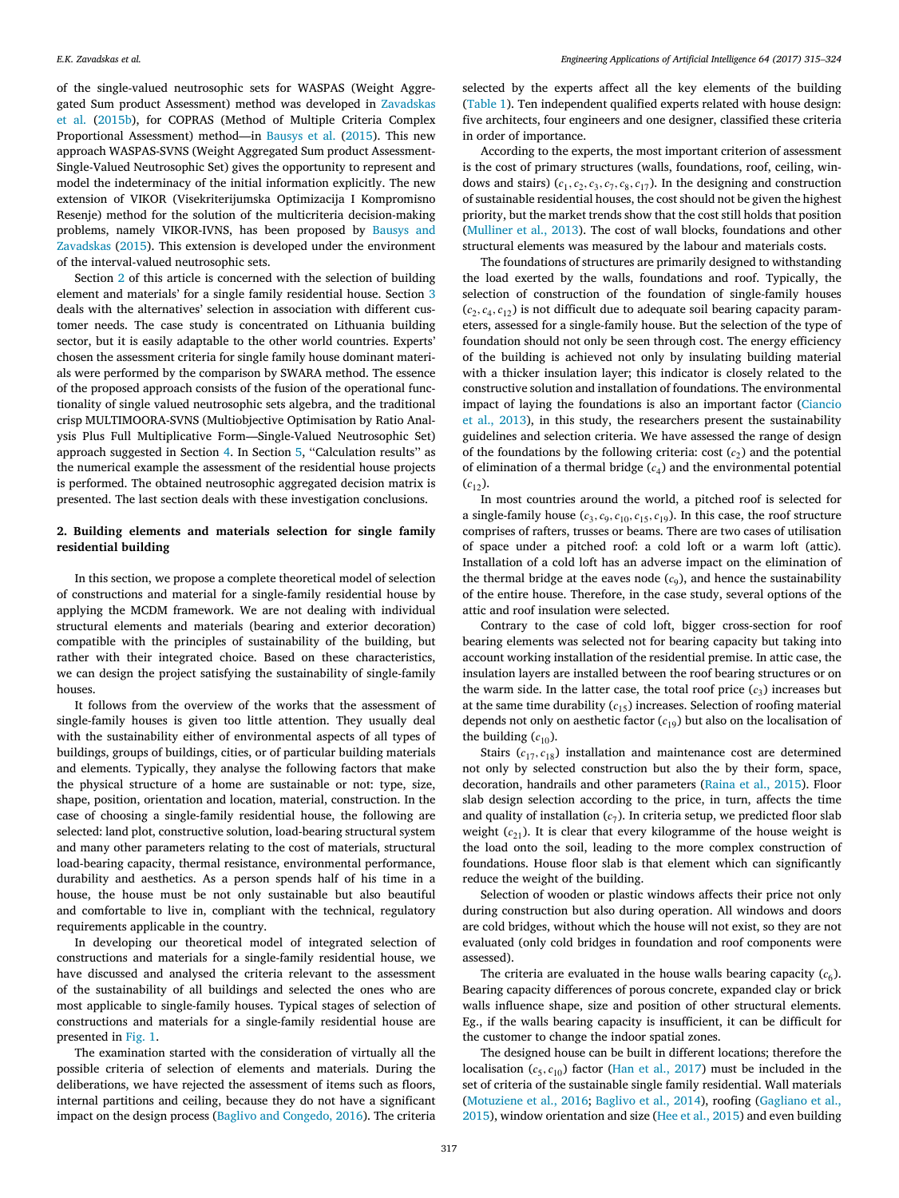of the single-valued neutrosophic sets for WASPAS (Weight Aggregated Sum product Assessment) method was developed in [Zavadskas](#page-9-35) [et](#page-9-35) [al.](#page-9-35) [\(2015b\)](#page-9-35), for COPRAS (Method of Multiple Criteria Complex Proportional Assessment) method—in [Bausys](#page-8-7) [et](#page-8-7) [al.](#page-8-7) [\(2015\)](#page-8-7). This new approach WASPAS-SVNS (Weight Aggregated Sum product Assessment-Single-Valued Neutrosophic Set) gives the opportunity to represent and model the indeterminacy of the initial information explicitly. The new extension of VIKOR (Visekriterijumska Optimizacija I Kompromisno Resenje) method for the solution of the multicriteria decision-making problems, namely VIKOR-IVNS, has been proposed by [Bausys](#page-8-8) [and](#page-8-8) [Zavadskas](#page-8-8) [\(2015\)](#page-8-8). This extension is developed under the environment of the interval-valued neutrosophic sets.

Section [2](#page-2-0) of this article is concerned with the selection of building element and materials' for a single family residential house. Section [3](#page-4-0) deals with the alternatives' selection in association with different customer needs. The case study is concentrated on Lithuania building sector, but it is easily adaptable to the other world countries. Experts' chosen the assessment criteria for single family house dominant materials were performed by the comparison by SWARA method. The essence of the proposed approach consists of the fusion of the operational functionality of single valued neutrosophic sets algebra, and the traditional crisp MULTIMOORA-SVNS (Multiobjective Optimisation by Ratio Analysis Plus Full Multiplicative Form—Single-Valued Neutrosophic Set) approach suggested in Section [4.](#page-4-1) In Section [5,](#page-7-0) ''Calculation results'' as the numerical example the assessment of the residential house projects is performed. The obtained neutrosophic aggregated decision matrix is presented. The last section deals with these investigation conclusions.

## <span id="page-2-0"></span>**2. Building elements and materials selection for single family residential building**

In this section, we propose a complete theoretical model of selection of constructions and material for a single-family residential house by applying the MCDM framework. We are not dealing with individual structural elements and materials (bearing and exterior decoration) compatible with the principles of sustainability of the building, but rather with their integrated choice. Based on these characteristics, we can design the project satisfying the sustainability of single-family houses.

It follows from the overview of the works that the assessment of single-family houses is given too little attention. They usually deal with the sustainability either of environmental aspects of all types of buildings, groups of buildings, cities, or of particular building materials and elements. Typically, they analyse the following factors that make the physical structure of a home are sustainable or not: type, size, shape, position, orientation and location, material, construction. In the case of choosing a single-family residential house, the following are selected: land plot, constructive solution, load-bearing structural system and many other parameters relating to the cost of materials, structural load-bearing capacity, thermal resistance, environmental performance, durability and aesthetics. As a person spends half of his time in a house, the house must be not only sustainable but also beautiful and comfortable to live in, compliant with the technical, regulatory requirements applicable in the country.

In developing our theoretical model of integrated selection of constructions and materials for a single-family residential house, we have discussed and analysed the criteria relevant to the assessment of the sustainability of all buildings and selected the ones who are most applicable to single-family houses. Typical stages of selection of constructions and materials for a single-family residential house are presented in [Fig. 1.](#page-3-0)

The examination started with the consideration of virtually all the possible criteria of selection of elements and materials. During the deliberations, we have rejected the assessment of items such as floors, internal partitions and ceiling, because they do not have a significant impact on the design process [\(Baglivo](#page-8-9) [and](#page-8-9) [Congedo,](#page-8-9) [2016\)](#page-8-9). The criteria

selected by the experts affect all the key elements of the building [\(Table 1\)](#page-3-1). Ten independent qualified experts related with house design: five architects, four engineers and one designer, classified these criteria in order of importance.

According to the experts, the most important criterion of assessment is the cost of primary structures (walls, foundations, roof, ceiling, windows and stairs)  $(c_1, c_2, c_3, c_7, c_8, c_{17})$ . In the designing and construction of sustainable residential houses, the cost should not be given the highest priority, but the market trends show that the cost still holds that position [\(Mulliner](#page-9-36) [et](#page-9-36) [al.,](#page-9-36) [2013\)](#page-9-36). The cost of wall blocks, foundations and other structural elements was measured by the labour and materials costs.

The foundations of structures are primarily designed to withstanding the load exerted by the walls, foundations and roof. Typically, the selection of construction of the foundation of single-family houses  $(c_2, c_4, c_{12})$  is not difficult due to adequate soil bearing capacity parameters, assessed for a single-family house. But the selection of the type of foundation should not only be seen through cost. The energy efficiency of the building is achieved not only by insulating building material with a thicker insulation layer; this indicator is closely related to the constructive solution and installation of foundations. The environmental impact of laying the foundations is also an important factor [\(Ciancio](#page-8-3) [et](#page-8-3) [al.,](#page-8-3) [2013\)](#page-8-3), in this study, the researchers present the sustainability guidelines and selection criteria. We have assessed the range of design of the foundations by the following criteria: cost  $(c_2)$  and the potential of elimination of a thermal bridge  $(c_4)$  and the environmental potential  $(c_{12})$ .

In most countries around the world, a pitched roof is selected for a single-family house  $(c_3, c_9, c_{10}, c_{15}, c_{19})$ . In this case, the roof structure comprises of rafters, trusses or beams. There are two cases of utilisation of space under a pitched roof: a cold loft or a warm loft (attic). Installation of a cold loft has an adverse impact on the elimination of the thermal bridge at the eaves node  $(c<sub>9</sub>)$ , and hence the sustainability of the entire house. Therefore, in the case study, several options of the attic and roof insulation were selected.

Contrary to the case of cold loft, bigger cross-section for roof bearing elements was selected not for bearing capacity but taking into account working installation of the residential premise. In attic case, the insulation layers are installed between the roof bearing structures or on the warm side. In the latter case, the total roof price  $(c_3)$  increases but at the same time durability  $(c_{15})$  increases. Selection of roofing material depends not only on aesthetic factor  $(c_{19})$  but also on the localisation of the building  $(c_{10})$ .

Stairs  $(c_{17}, c_{18})$  installation and maintenance cost are determined not only by selected construction but also the by their form, space, decoration, handrails and other parameters [\(Raina](#page-9-23) [et](#page-9-23) [al.,](#page-9-23) [2015\)](#page-9-23). Floor slab design selection according to the price, in turn, affects the time and quality of installation  $(c_7)$ . In criteria setup, we predicted floor slab weight  $(c_{21})$ . It is clear that every kilogramme of the house weight is the load onto the soil, leading to the more complex construction of foundations. House floor slab is that element which can significantly reduce the weight of the building.

Selection of wooden or plastic windows affects their price not only during construction but also during operation. All windows and doors are cold bridges, without which the house will not exist, so they are not evaluated (only cold bridges in foundation and roof components were assessed).

The criteria are evaluated in the house walls bearing capacity  $(c_6)$ . Bearing capacity differences of porous concrete, expanded clay or brick walls influence shape, size and position of other structural elements. Eg., if the walls bearing capacity is insufficient, it can be difficult for the customer to change the indoor spatial zones.

The designed house can be built in different locations; therefore the localisation  $(c_5, c_{10})$  factor [\(Han](#page-9-26) [et](#page-9-26) [al.,](#page-9-26) [2017\)](#page-9-26) must be included in the set of criteria of the sustainable single family residential. Wall materials [\(Motuziene](#page-9-10) [et](#page-9-10) [al.,](#page-9-10) [2016;](#page-9-10) [Baglivo](#page-8-0) [et](#page-8-0) [al.,](#page-8-0) [2014\)](#page-8-0), roofing [\(Gagliano](#page-9-12) [et](#page-9-12) [al.,](#page-9-12) [2015\)](#page-9-12), window orientation and size [\(Hee](#page-9-25) [et](#page-9-25) [al.,](#page-9-25) [2015\)](#page-9-25) and even building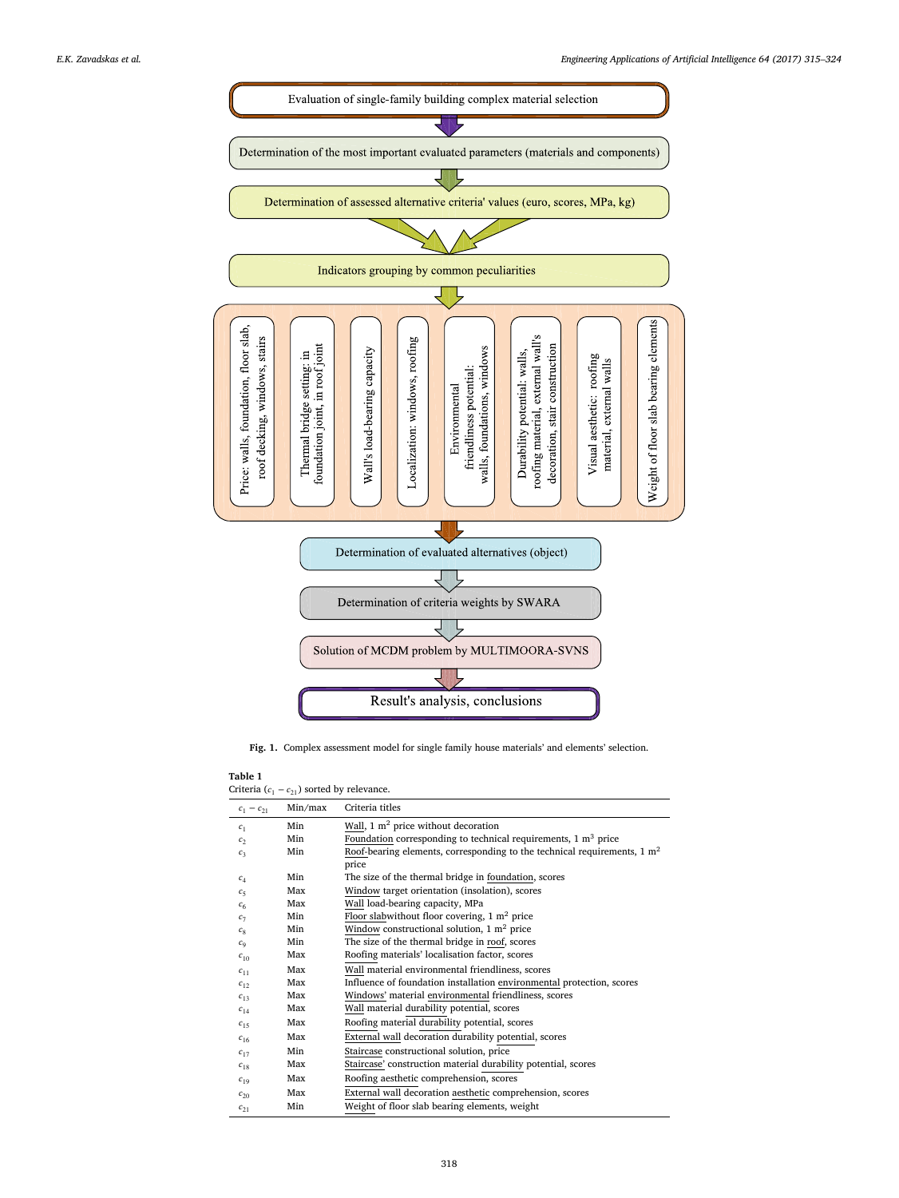<span id="page-3-0"></span>

**Fig. 1.** Complex assessment model for single family house materials' and elements' selection.

<span id="page-3-1"></span>Criteria  $(c_1 - c_{21})$  sorted by relevance.

| $c_1 - c_{21}$ | Min/max | Criteria titles                                                                     |
|----------------|---------|-------------------------------------------------------------------------------------|
| c <sub>1</sub> | Min     | Wall, $1 \text{ m}^2$ price without decoration                                      |
| c <sub>2</sub> | Min     | Foundation corresponding to technical requirements, $1 \text{ m}^3$ price           |
| $c_3$          | Min     | Roof-bearing elements, corresponding to the technical requirements, $1 \text{ m}^2$ |
|                |         | price                                                                               |
| $c_{\rm A}$    | Min     | The size of the thermal bridge in foundation, scores                                |
| c <sub>5</sub> | Max     | Window target orientation (insolation), scores                                      |
| c <sub>6</sub> | Max     | Wall load-bearing capacity, MPa                                                     |
| $c_7$          | Min     | Floor slabwithout floor covering, $1 \text{ m}^2$ price                             |
| $c_{8}$        | Min     | Window constructional solution, $1 \text{ m}^2$ price                               |
| $c_{\rm q}$    | Min     | The size of the thermal bridge in roof, scores                                      |
| $c_{10}$       | Max     | Roofing materials' localisation factor, scores                                      |
| $c_{11}$       | Max     | Wall material environmental friendliness, scores                                    |
| $c_{12}$       | Max     | Influence of foundation installation environmental protection, scores               |
| $c_{13}$       | Max     | Windows' material environmental friendliness, scores                                |
| $c_{14}$       | Max     | Wall material durability potential, scores                                          |
| $c_{15}$       | Max     | Roofing material durability potential, scores                                       |
| $c_{16}$       | Max     | External wall decoration durability potential, scores                               |
| $c_{17}$       | Min     | Staircase constructional solution, price                                            |
| $c_{18}$       | Max     | Staircase' construction material durability potential, scores                       |
| $c_{19}$       | Max     | Roofing aesthetic comprehension, scores                                             |
| $c_{20}$       | Max     | External wall decoration aesthetic comprehension, scores                            |
| $c_{21}$       | Min     | Weight of floor slab bearing elements, weight                                       |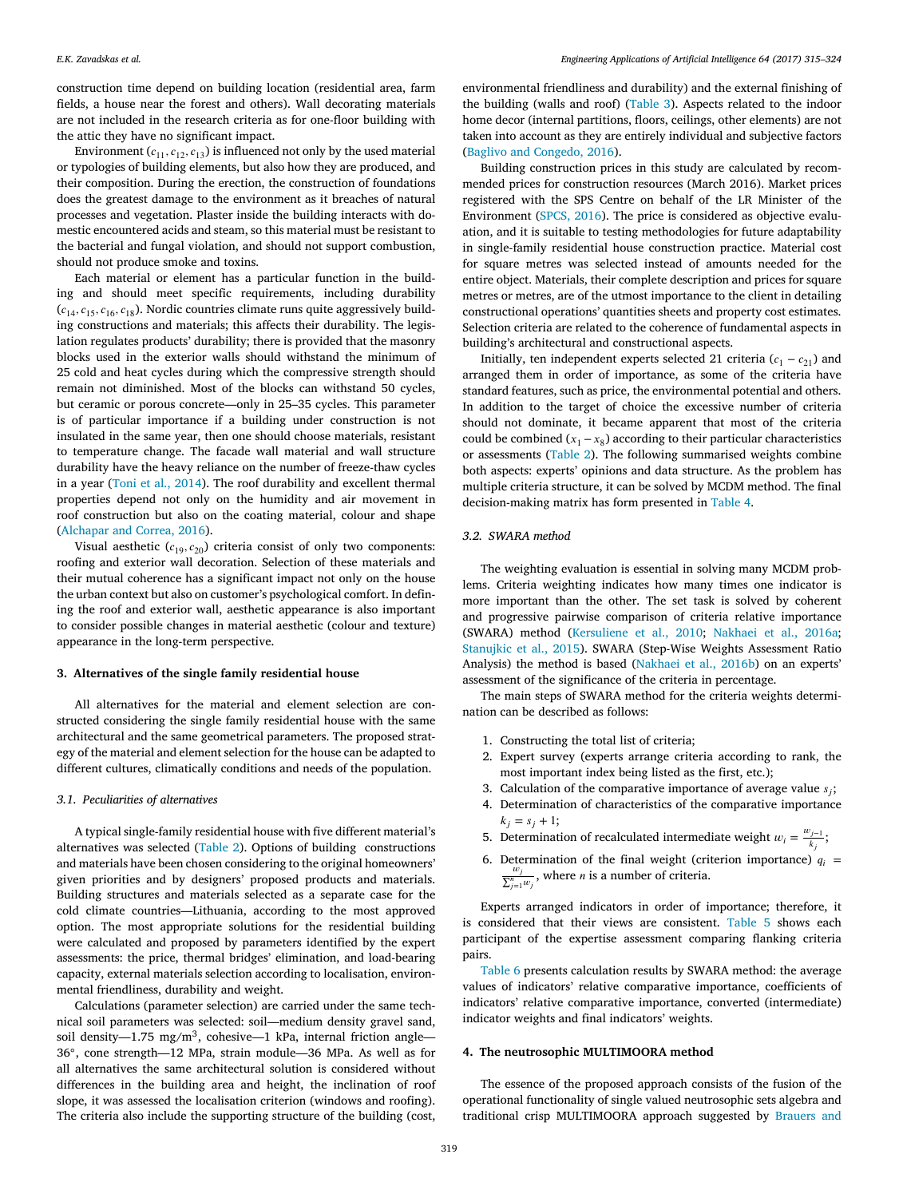construction time depend on building location (residential area, farm fields, a house near the forest and others). Wall decorating materials are not included in the research criteria as for one-floor building with the attic they have no significant impact.

Environment  $(c_{11}, c_{12}, c_{13})$  is influenced not only by the used material or typologies of building elements, but also how they are produced, and their composition. During the erection, the construction of foundations does the greatest damage to the environment as it breaches of natural processes and vegetation. Plaster inside the building interacts with domestic encountered acids and steam, so this material must be resistant to the bacterial and fungal violation, and should not support combustion, should not produce smoke and toxins.

Each material or element has a particular function in the building and should meet specific requirements, including durability  $(c_{14}, c_{15}, c_{16}, c_{18})$ . Nordic countries climate runs quite aggressively building constructions and materials; this affects their durability. The legislation regulates products' durability; there is provided that the masonry blocks used in the exterior walls should withstand the minimum of 25 cold and heat cycles during which the compressive strength should remain not diminished. Most of the blocks can withstand 50 cycles, but ceramic or porous concrete—only in 25–35 cycles. This parameter is of particular importance if a building under construction is not insulated in the same year, then one should choose materials, resistant to temperature change. The facade wall material and wall structure durability have the heavy reliance on the number of freeze-thaw cycles in a year [\(Toni](#page-9-37) [et](#page-9-37) [al.,](#page-9-37) [2014\)](#page-9-37). The roof durability and excellent thermal properties depend not only on the humidity and air movement in roof construction but also on the coating material, colour and shape [\(Alchapar](#page-8-4) [and](#page-8-4) [Correa,](#page-8-4) [2016\)](#page-8-4).

Visual aesthetic  $(c_{19}, c_{20})$  criteria consist of only two components: roofing and exterior wall decoration. Selection of these materials and their mutual coherence has a significant impact not only on the house the urban context but also on customer's psychological comfort. In defining the roof and exterior wall, aesthetic appearance is also important to consider possible changes in material aesthetic (colour and texture) appearance in the long-term perspective.

#### <span id="page-4-0"></span>**3. Alternatives of the single family residential house**

All alternatives for the material and element selection are constructed considering the single family residential house with the same architectural and the same geometrical parameters. The proposed strategy of the material and element selection for the house can be adapted to different cultures, climatically conditions and needs of the population.

#### *3.1. Peculiarities of alternatives*

A typical single-family residential house with five different material's alternatives was selected [\(Table 2\)](#page-5-0). Options of building constructions and materials have been chosen considering to the original homeowners' given priorities and by designers' proposed products and materials. Building structures and materials selected as a separate case for the cold climate countries—Lithuania, according to the most approved option. The most appropriate solutions for the residential building were calculated and proposed by parameters identified by the expert assessments: the price, thermal bridges' elimination, and load-bearing capacity, external materials selection according to localisation, environmental friendliness, durability and weight.

Calculations (parameter selection) are carried under the same technical soil parameters was selected: soil—medium density gravel sand, soil density—1.75 mg/m<sup>3</sup>, cohesive—1 kPa, internal friction angle— 36◦ , cone strength—12 MPa, strain module—36 MPa. As well as for all alternatives the same architectural solution is considered without differences in the building area and height, the inclination of roof slope, it was assessed the localisation criterion (windows and roofing). The criteria also include the supporting structure of the building (cost,

environmental friendliness and durability) and the external finishing of the building (walls and roof) [\(Table 3\)](#page-5-1). Aspects related to the indoor home decor (internal partitions, floors, ceilings, other elements) are not taken into account as they are entirely individual and subjective factors [\(Baglivo](#page-8-9) [and](#page-8-9) [Congedo,](#page-8-9) [2016\)](#page-8-9).

Building construction prices in this study are calculated by recommended prices for construction resources (March 2016). Market prices registered with the SPS Centre on behalf of the LR Minister of the Environment [\(SPCS,](#page-9-38) [2016\)](#page-9-38). The price is considered as objective evaluation, and it is suitable to testing methodologies for future adaptability in single-family residential house construction practice. Material cost for square metres was selected instead of amounts needed for the entire object. Materials, their complete description and prices for square metres or metres, are of the utmost importance to the client in detailing constructional operations' quantities sheets and property cost estimates. Selection criteria are related to the coherence of fundamental aspects in building's architectural and constructional aspects.

Initially, ten independent experts selected 21 criteria  $(c_1 - c_{21})$  and arranged them in order of importance, as some of the criteria have standard features, such as price, the environmental potential and others. In addition to the target of choice the excessive number of criteria should not dominate, it became apparent that most of the criteria could be combined  $(x_1 - x_8)$  according to their particular characteristics or assessments [\(Table 2\)](#page-5-0). The following summarised weights combine both aspects: experts' opinions and data structure. As the problem has multiple criteria structure, it can be solved by MCDM method. The final decision-making matrix has form presented in [Table 4.](#page-5-2)

## *3.2. SWARA method*

The weighting evaluation is essential in solving many MCDM problems. Criteria weighting indicates how many times one indicator is more important than the other. The set task is solved by coherent and progressive pairwise comparison of criteria relative importance (SWARA) method [\(Kersuliene](#page-9-28) [et](#page-9-28) [al.,](#page-9-28) [2010;](#page-9-28) [Nakhaei](#page-9-39) [et](#page-9-39) [al.,](#page-9-39) [2016a;](#page-9-39) [Stanujkic](#page-9-40) [et](#page-9-40) [al.,](#page-9-40) [2015\)](#page-9-40). SWARA (Step-Wise Weights Assessment Ratio Analysis) the method is based [\(Nakhaei](#page-9-29) [et](#page-9-29) [al.,](#page-9-29) [2016b\)](#page-9-29) on an experts' assessment of the significance of the criteria in percentage.

The main steps of SWARA method for the criteria weights determination can be described as follows:

- 1. Constructing the total list of criteria;
- 2. Expert survey (experts arrange criteria according to rank, the most important index being listed as the first, etc.);
- 3. Calculation of the comparative importance of average value  $s_j$ ;
- 4. Determination of characteristics of the comparative importance  $k_i = s_i + 1;$
- 5. Determination of recalculated intermediate weight  $w_i = \frac{w_{j-1}}{k_i}$  $\frac{f_{j-1}}{k_j};$
- 6. Determination of the final weight (criterion importance)  $q_i = \frac{w_j}{\sum_{j=1}^{n} w_j}$ , where *n* is a number of criteria.

Experts arranged indicators in order of importance; therefore, it is considered that their views are consistent. [Table 5](#page-6-0) shows each participant of the expertise assessment comparing flanking criteria pairs.

[Table 6](#page-6-1) presents calculation results by SWARA method: the average values of indicators' relative comparative importance, coefficients of indicators' relative comparative importance, converted (intermediate) indicator weights and final indicators' weights.

## <span id="page-4-1"></span>**4. The neutrosophic MULTIMOORA method**

The essence of the proposed approach consists of the fusion of the operational functionality of single valued neutrosophic sets algebra and traditional crisp MULTIMOORA approach suggested by [Brauers](#page-8-5) [and](#page-8-5)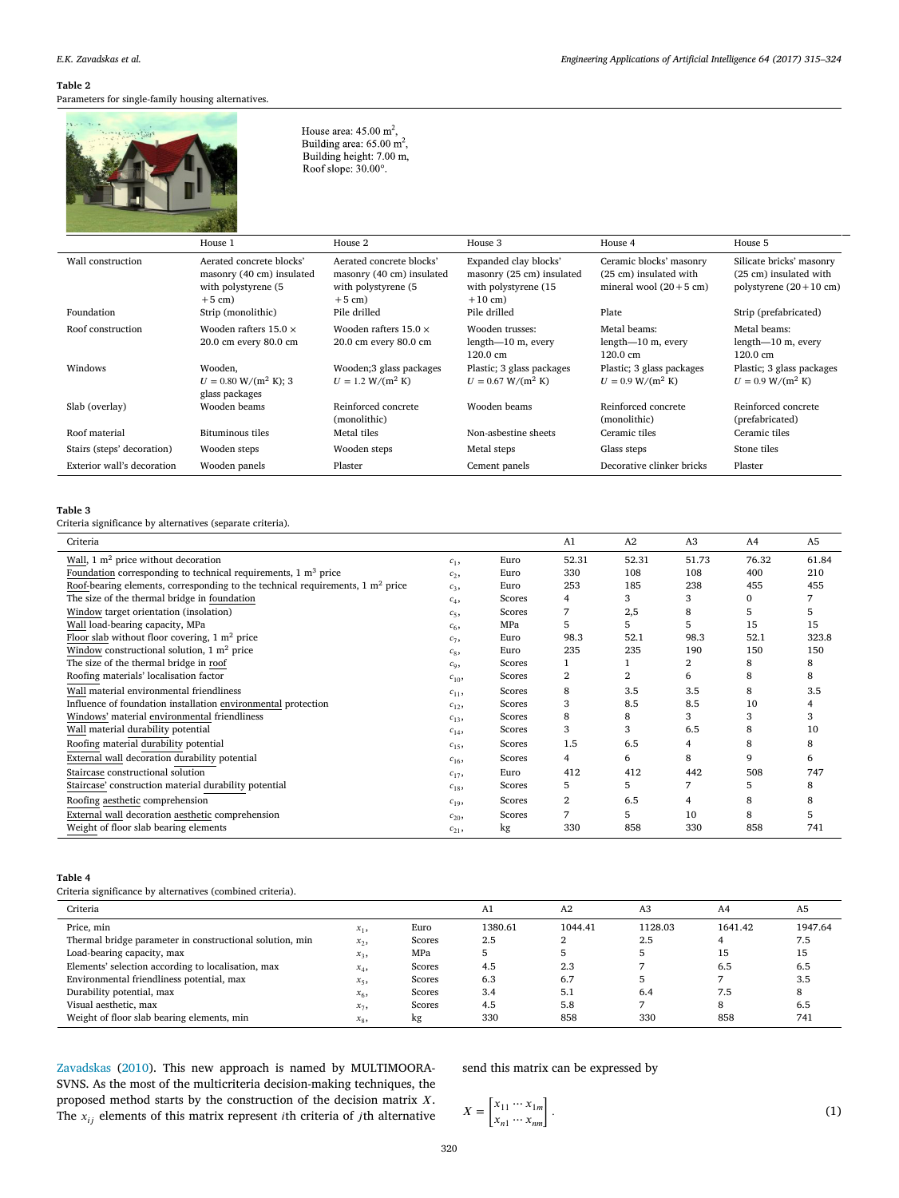## <span id="page-5-0"></span>Parameters for single-family housing alternatives.

House area:  $45.00 \text{ m}^2$ , Building area:  $65.00 \text{ m}^2$ , Building height: 7.00 m, Roof slope: 30.00°.

|                            | House 1                                                                                  | House 2                                                                                  | House 3                                                                                 | House 4                                                                               | House 5                                                                                |
|----------------------------|------------------------------------------------------------------------------------------|------------------------------------------------------------------------------------------|-----------------------------------------------------------------------------------------|---------------------------------------------------------------------------------------|----------------------------------------------------------------------------------------|
| Wall construction          | Aerated concrete blocks'<br>masonry (40 cm) insulated<br>with polystyrene (5<br>$+5$ cm) | Aerated concrete blocks'<br>masonry (40 cm) insulated<br>with polystyrene (5<br>$+5$ cm) | Expanded clay blocks'<br>masonry (25 cm) insulated<br>with polystyrene (15<br>$+10$ cm) | Ceramic blocks' masonry<br>(25 cm) insulated with<br>mineral wool $(20+5 \text{ cm})$ | Silicate bricks' masonry<br>(25 cm) insulated with<br>polystyrene $(20+10 \text{ cm})$ |
| Foundation                 | Strip (monolithic)                                                                       | Pile drilled                                                                             | Pile drilled                                                                            | Plate                                                                                 | Strip (prefabricated)                                                                  |
| Roof construction          | Wooden rafters $15.0 \times$<br>20.0 cm every 80.0 cm                                    | Wooden rafters $15.0 \times$<br>20.0 cm every 80.0 cm                                    | Wooden trusses:<br>$length-10$ m, every<br>$120.0 \text{ cm}$                           | Metal beams:<br>$length-10$ m, every<br>$120.0 \text{ cm}$                            | Metal beams:<br>$length-10$ m, every<br>$120.0 \text{ cm}$                             |
| Windows                    | Wooden,<br>$U = 0.80$ W/(m <sup>2</sup> K); 3<br>glass packages                          | Wooden;3 glass packages<br>$U = 1.2 W/(m^2 K)$                                           | Plastic; 3 glass packages<br>$U = 0.67$ W/(m <sup>2</sup> K)                            | Plastic; 3 glass packages<br>$U = 0.9$ W/(m <sup>2</sup> K)                           | Plastic; 3 glass packages<br>$U = 0.9$ W/(m <sup>2</sup> K)                            |
| Slab (overlay)             | Wooden beams                                                                             | Reinforced concrete<br>(monolithic)                                                      | Wooden beams                                                                            | Reinforced concrete<br>(monolithic)                                                   | Reinforced concrete<br>(prefabricated)                                                 |
| Roof material              | Bituminous tiles                                                                         | Metal tiles                                                                              | Non-asbestine sheets                                                                    | Ceramic tiles                                                                         | Ceramic tiles                                                                          |
| Stairs (steps' decoration) | Wooden steps                                                                             | Wooden steps                                                                             | Metal steps                                                                             | Glass steps                                                                           | Stone tiles                                                                            |
| Exterior wall's decoration | Wooden panels                                                                            | Plaster                                                                                  | Cement panels                                                                           | Decorative clinker bricks                                                             | Plaster                                                                                |

## <span id="page-5-1"></span>**Table 3**

Criteria significance by alternatives (separate criteria).

| Criteria                                                                                  |          |        | A1    | A2    | A <sub>3</sub> | A <sub>4</sub> | A <sub>5</sub> |
|-------------------------------------------------------------------------------------------|----------|--------|-------|-------|----------------|----------------|----------------|
| Wall, $1 \text{ m}^2$ price without decoration                                            | $c_{1}$  | Euro   | 52.31 | 52.31 | 51.73          | 76.32          | 61.84          |
| Foundation corresponding to technical requirements, $1 \text{ m}^3$ price                 | $c_{2}$  | Euro   | 330   | 108   | 108            | 400            | 210            |
| Roof-bearing elements, corresponding to the technical requirements, $1 \text{ m}^2$ price | $c_3$    | Euro   | 253   | 185   | 238            | 455            | 455            |
| The size of the thermal bridge in foundation                                              | $c_4$    | Scores | 4     | 3     | 3              | $\Omega$       |                |
| Window target orientation (insolation)                                                    | $c_{5}$  | Scores |       | 2,5   | 8              | 5              |                |
| Wall load-bearing capacity, MPa                                                           | $c_{6}$  | MPa    | 5     | 5     | 5              | 15             | 15             |
| Floor slab without floor covering, $1 \text{ m}^2$ price                                  | $c_{7}$  | Euro   | 98.3  | 52.1  | 98.3           | 52.1           | 323.8          |
| Window constructional solution, $1 \text{ m}^2$ price                                     | $c_{8}$  | Euro   | 235   | 235   | 190            | 150            | 150            |
| The size of the thermal bridge in roof                                                    | $c_{9}$  | Scores |       |       | 2              | 8              | 8              |
| Roofing materials' localisation factor                                                    | $c_{10}$ | Scores | 2     |       | 6              | 8              | 8              |
| Wall material environmental friendliness                                                  | $c_{11}$ | Scores | 8     | 3.5   | 3.5            | 8              | 3.5            |
| Influence of foundation installation environmental protection                             | $c_{12}$ | Scores | 3     | 8.5   | 8.5            | 10             |                |
| Windows' material environmental friendliness                                              | $c_{13}$ | Scores | 8     | 8     | 3              | 3              | 3              |
| Wall material durability potential                                                        | $c_{14}$ | Scores | 3     | 3     | 6.5            | 8              | 10             |
| Roofing material durability potential                                                     | $c_{15}$ | Scores | 1.5   | 6.5   | 4              | 8              | 8              |
| External wall decoration durability potential                                             | $c_{16}$ | Scores | 4     | 6     | 8              | 9              | 6              |
| Staircase constructional solution                                                         | $c_{17}$ | Euro   | 412   | 412   | 442            | 508            | 747            |
| Staircase' construction material durability potential                                     | $c_{18}$ | Scores | 5     | 5     |                | 5              | 8              |
| Roofing aesthetic comprehension                                                           | $c_{19}$ | Scores | 2     | 6.5   | 4              | 8              | 8              |
| External wall decoration aesthetic comprehension                                          | $c_{20}$ | Scores |       | 5     | 10             | 8              |                |
| Weight of floor slab bearing elements                                                     | $c_{21}$ | kg     | 330   | 858   | 330            | 858            | 741            |

#### <span id="page-5-2"></span>**Table 4**

Criteria significance by alternatives (combined criteria).

| Criteria                                                 |                |        | A1      | A <sub>2</sub> | A3      | A4      | A <sub>5</sub> |
|----------------------------------------------------------|----------------|--------|---------|----------------|---------|---------|----------------|
| Price, min                                               | $x_1$ ,        | Euro   | 1380.61 | 1044.41        | 1128.03 | 1641.42 | 1947.64        |
| Thermal bridge parameter in constructional solution, min | $x_2$          | Scores | 2.5     |                | 2.5     |         | 7.5            |
| Load-bearing capacity, max                               | $x_3$          | MPa    |         |                |         | 15      | 15             |
| Elements' selection according to localisation, max       | $x_4$          | Scores | 4.5     | 2.3            |         | 6.5     | 6.5            |
| Environmental friendliness potential, max                | $x_{5}$        | Scores | 6.3     | 6.7            |         |         | 3.5            |
| Durability potential, max                                | x <sub>6</sub> | Scores | 3.4     | 5.1            | 6.4     | 7.5     |                |
| Visual aesthetic, max                                    | $x_7$          | Scores | 4.5     | 5.8            |         | 8       | 6.5            |
| Weight of floor slab bearing elements, min               | $x_8$          | kg     | 330     | 858            | 330     | 858     | 741            |

[Zavadskas](#page-8-5) [\(2010\)](#page-8-5). This new approach is named by MULTIMOORA-SVNS. As the most of the multicriteria decision-making techniques, the proposed method starts by the construction of the decision matrix  $X$ . The  $x_{ij}$  elements of this matrix represent *i*th criteria of *j*th alternative send this matrix can be expressed by

$$
X = \begin{bmatrix} x_{11} \cdots x_{1m} \\ x_{n1} \cdots x_{nm} \end{bmatrix} .
$$
 (1)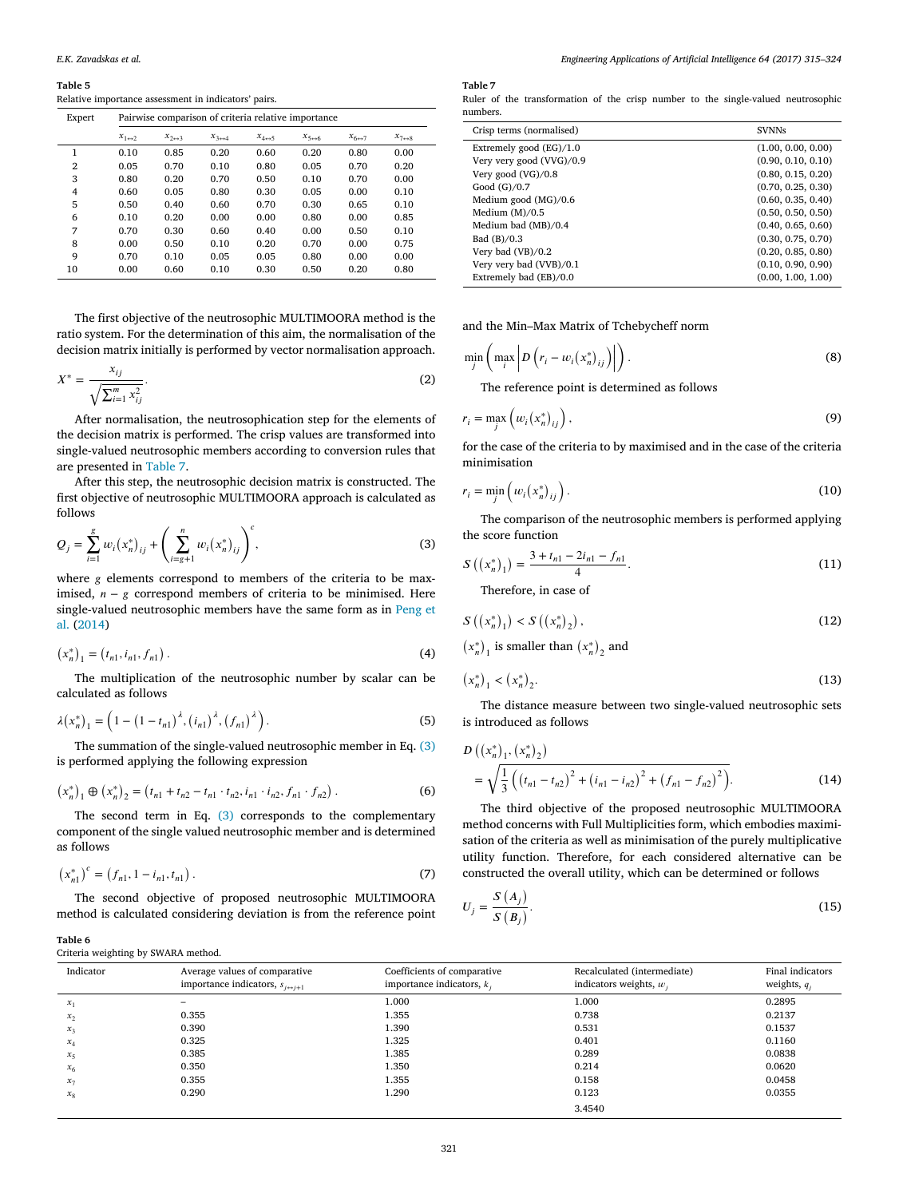<span id="page-6-0"></span>Relative importance assessment in indicators' pairs.

| Expert         | Pairwise comparison of criteria relative importance |                          |                          |                          |                          |                           |                           |  |
|----------------|-----------------------------------------------------|--------------------------|--------------------------|--------------------------|--------------------------|---------------------------|---------------------------|--|
|                | $x_{1\leftrightarrow 2}$                            | $x_{2\leftrightarrow 3}$ | $x_{3\leftrightarrow 4}$ | $x_{4\leftrightarrow 5}$ | $x_{5\leftrightarrow 6}$ | $x_{6 \leftrightarrow 7}$ | $x_{7 \leftrightarrow 8}$ |  |
| 1              | 0.10                                                | 0.85                     | 0.20                     | 0.60                     | 0.20                     | 0.80                      | 0.00                      |  |
| $\overline{2}$ | 0.05                                                | 0.70                     | 0.10                     | 0.80                     | 0.05                     | 0.70                      | 0.20                      |  |
| 3              | 0.80                                                | 0.20                     | 0.70                     | 0.50                     | 0.10                     | 0.70                      | 0.00                      |  |
| 4              | 0.60                                                | 0.05                     | 0.80                     | 0.30                     | 0.05                     | 0.00                      | 0.10                      |  |
| 5              | 0.50                                                | 0.40                     | 0.60                     | 0.70                     | 0.30                     | 0.65                      | 0.10                      |  |
| 6              | 0.10                                                | 0.20                     | 0.00                     | 0.00                     | 0.80                     | 0.00                      | 0.85                      |  |
| 7              | 0.70                                                | 0.30                     | 0.60                     | 0.40                     | 0.00                     | 0.50                      | 0.10                      |  |
| 8              | 0.00                                                | 0.50                     | 0.10                     | 0.20                     | 0.70                     | 0.00                      | 0.75                      |  |
| 9              | 0.70                                                | 0.10                     | 0.05                     | 0.05                     | 0.80                     | 0.00                      | 0.00                      |  |
| 10             | 0.00                                                | 0.60                     | 0.10                     | 0.30                     | 0.50                     | 0.20                      | 0.80                      |  |

The first objective of the neutrosophic MULTIMOORA method is the ratio system. For the determination of this aim, the normalisation of the decision matrix initially is performed by vector normalisation approach.

$$
X^* = \frac{x_{ij}}{\sqrt{\sum_{i=1}^m x_{ij}^2}}.
$$
 (2)

After normalisation, the neutrosophication step for the elements of the decision matrix is performed. The crisp values are transformed into single-valued neutrosophic members according to conversion rules that are presented in [Table 7.](#page-6-2)

After this step, the neutrosophic decision matrix is constructed. The first objective of neutrosophic MULTIMOORA approach is calculated as follows

<span id="page-6-3"></span>
$$
Q_j = \sum_{i=1}^{g} w_i (x_n^*)_{ij} + \left(\sum_{i=g+1}^{n} w_i (x_n^*)_{ij}\right)^c,
$$
 (3)

where  $g$  elements correspond to members of the criteria to be maximised,  $n - g$  correspond members of criteria to be minimised. Here single-valued neutrosophic members have the same form as in [Peng](#page-9-41) [et](#page-9-41) [al.](#page-9-41) [\(2014\)](#page-9-41)

$$
(x_n^*)_1 = (t_{n1}, t_{n1}, f_{n1}).
$$
\n(4)

The multiplication of the neutrosophic number by scalar can be calculated as follows

$$
\lambda(x_n^*)_1 = \left(1 - \left(1 - t_{n1}\right)^{\lambda}, \left(t_{n1}\right)^{\lambda}, \left(f_{n1}\right)^{\lambda}\right). \tag{5}
$$

The summation of the single-valued neutrosophic member in Eq. [\(3\)](#page-6-3) is performed applying the following expression

$$
\left(x_n^*\right)_1 \oplus \left(x_n^*\right)_2 = \left(t_{n1} + t_{n2} - t_{n1} \cdot t_{n2}, i_{n1} \cdot i_{n2}, f_{n1} \cdot f_{n2}\right).
$$
 (6)

The second term in Eq. [\(3\)](#page-6-3) corresponds to the complementary component of the single valued neutrosophic member and is determined as follows

$$
\left(x_{n1}^*\right)^c = \left(f_{n1}, 1 - i_{n1}, t_{n1}\right). \tag{7}
$$

The second objective of proposed neutrosophic MULTIMOORA method is calculated considering deviation is from the reference point

### <span id="page-6-2"></span>**Table 7**

Ruler of the transformation of the crisp number to the single-valued neutrosophic numbers.

| <b>SVNNs</b>       |
|--------------------|
| (1.00, 0.00, 0.00) |
| (0.90, 0.10, 0.10) |
| (0.80, 0.15, 0.20) |
| (0.70, 0.25, 0.30) |
| (0.60, 0.35, 0.40) |
| (0.50, 0.50, 0.50) |
| (0.40, 0.65, 0.60) |
| (0.30, 0.75, 0.70) |
| (0.20, 0.85, 0.80) |
| (0.10, 0.90, 0.90) |
| (0.00, 1.00, 1.00) |
|                    |

and the Min–Max Matrix of Tchebycheff norm

$$
\min_{j} \left( \max_{i} \left| D \left( r_i - w_i(x_n^*)_{ij} \right) \right| \right). \tag{8}
$$

The reference point is determined as follows

$$
r_i = \max_j \left( w_i \left( x_n^* \right)_{ij} \right), \tag{9}
$$

for the case of the criteria to by maximised and in the case of the criteria minimisation

$$
r_i = \min_j \left( w_i \left( x_n^* \right)_{ij} \right). \tag{10}
$$

The comparison of the neutrosophic members is performed applying the score function

$$
\left( \left( x_n^* \right)_1 \right) = \frac{3 + t_{n1} - 2i_{n1} - f_{n1}}{4}.
$$
\n(11)

Therefore, in case of

 $\mathcal{S}_{\mathcal{S}}$ 

$$
S((x_n^*)_1) < S((x_n^*)_2),\tag{12}
$$

 $(x_n^*)$ <sup>1</sup> is smaller than  $(x_n^*)$  $\rm _2$  and

$$
(x_n^*)_1 < (x_n^*)_2. \tag{13}
$$

The distance measure between two single-valued neutrosophic sets is introduced as follows

$$
D\left((x_n^*)_1, (x_n^*)_2\right) = \sqrt{\frac{1}{3}\left((t_{n1} - t_{n2})^2 + (i_{n1} - i_{n2})^2 + (f_{n1} - f_{n2})^2\right)}.
$$
\n(14)

The third objective of the proposed neutrosophic MULTIMOORA method concerns with Full Multiplicities form, which embodies maximisation of the criteria as well as minimisation of the purely multiplicative utility function. Therefore, for each considered alternative can be constructed the overall utility, which can be determined or follows

$$
U_j = \frac{S(A_j)}{S(B_j)}.\t(15)
$$

| ------ |                                     |  |  |
|--------|-------------------------------------|--|--|
|        | Criteria weighting by SWARA method. |  |  |

<span id="page-6-1"></span>**Table 6**

| Indicator      | Average values of comparative<br>importance indicators, $s_{i \leftrightarrow i+1}$ | Coefficients of comparative<br>importance indicators, $k_i$ | Recalculated (intermediate)<br>indicators weights, $w_i$ | Final indicators<br>weights, $q_i$ |
|----------------|-------------------------------------------------------------------------------------|-------------------------------------------------------------|----------------------------------------------------------|------------------------------------|
| $x_1$          | -                                                                                   | 1.000                                                       | 1.000                                                    | 0.2895                             |
| $x_2$          | 0.355                                                                               | 1.355                                                       | 0.738                                                    | 0.2137                             |
| $x_3$          | 0.390                                                                               | 1.390                                                       | 0.531                                                    | 0.1537                             |
| $x_4$          | 0.325                                                                               | 1.325                                                       | 0.401                                                    | 0.1160                             |
| $x_5$          | 0.385                                                                               | 1.385                                                       | 0.289                                                    | 0.0838                             |
| x <sub>6</sub> | 0.350                                                                               | 1.350                                                       | 0.214                                                    | 0.0620                             |
| $x_7$          | 0.355                                                                               | 1.355                                                       | 0.158                                                    | 0.0458                             |
| $x_{8}$        | 0.290                                                                               | 1.290                                                       | 0.123                                                    | 0.0355                             |
|                |                                                                                     |                                                             | 3.4540                                                   |                                    |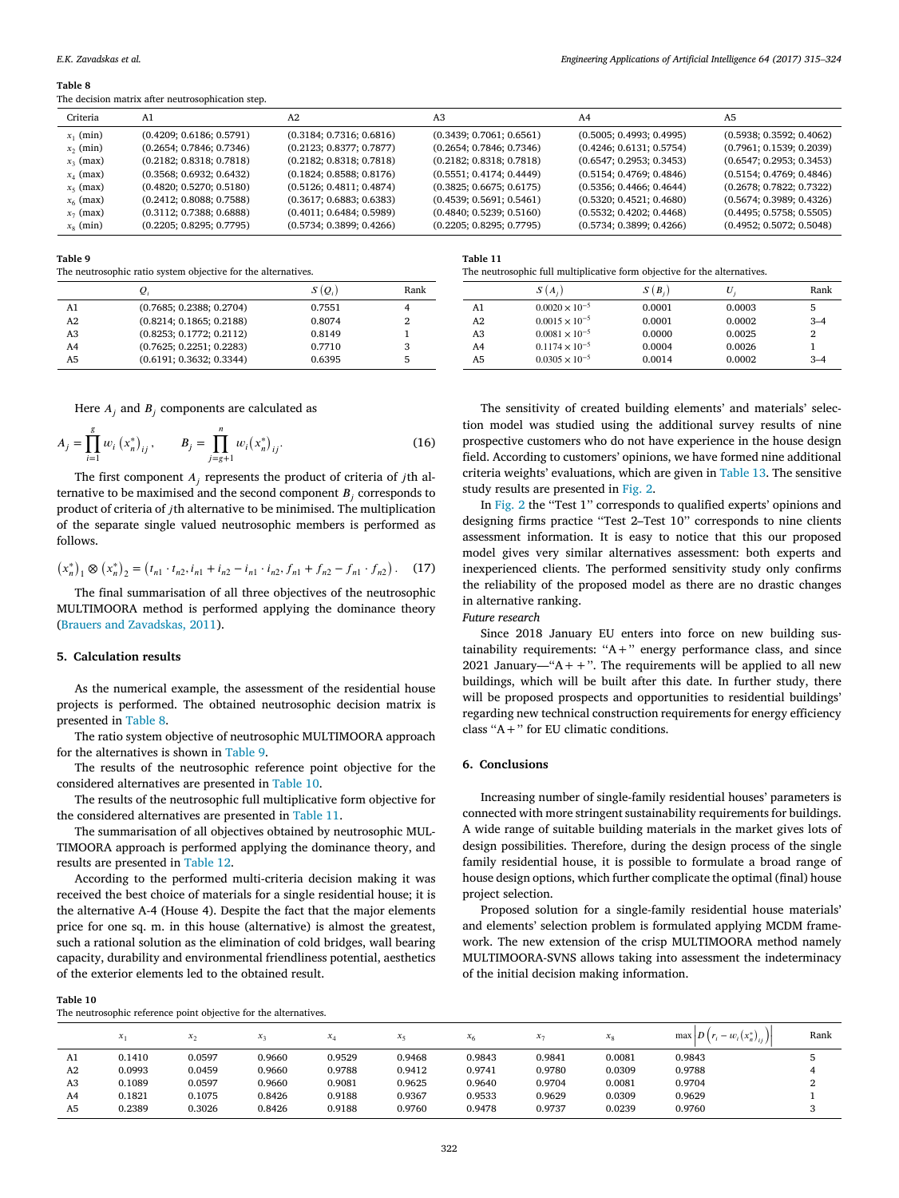<span id="page-7-1"></span>The decision matrix after neutrosophication step.

| Criteria    | A <sub>1</sub>           | A2                       | A3                       | A4                       | A <sub>5</sub>           |
|-------------|--------------------------|--------------------------|--------------------------|--------------------------|--------------------------|
| $x_1$ (min) | (0.4209; 0.6186; 0.5791) | (0.3184; 0.7316; 0.6816) | (0.3439; 0.7061; 0.6561) | (0.5005; 0.4993; 0.4995) | (0.5938; 0.3592; 0.4062) |
| $x_2$ (min) | (0.2654; 0.7846; 0.7346) | (0.2123; 0.8377; 0.7877) | (0.2654; 0.7846; 0.7346) | (0.4246; 0.6131; 0.5754) | (0.7961; 0.1539; 0.2039) |
| $x_3$ (max) | (0.2182; 0.8318; 0.7818) | (0.2182; 0.8318; 0.7818) | (0.2182; 0.8318; 0.7818) | (0.6547; 0.2953; 0.3453) | (0.6547; 0.2953; 0.3453) |
| $x_4$ (max) | (0.3568; 0.6932; 0.6432) | (0.1824; 0.8588; 0.8176) | (0.5551; 0.4174; 0.4449) | (0.5154; 0.4769; 0.4846) | (0.5154; 0.4769; 0.4846) |
| $x_5$ (max) | (0.4820; 0.5270; 0.5180) | (0.5126; 0.4811; 0.4874) | (0.3825; 0.6675; 0.6175) | (0.5356; 0.4466; 0.4644) | (0.2678; 0.7822; 0.7322) |
| $x_6$ (max) | (0.2412; 0.8088; 0.7588) | (0.3617; 0.6883; 0.6383) | (0.4539; 0.5691; 0.5461) | (0.5320; 0.4521; 0.4680) | (0.5674; 0.3989; 0.4326) |
| $x_7$ (max) | (0.3112; 0.7388; 0.6888) | (0.4011; 0.6484; 0.5989) | (0.4840; 0.5239; 0.5160) | (0.5532; 0.4202; 0.4468) | (0.4495; 0.5758; 0.5505) |
| $x_8$ (min) | (0.2205; 0.8295; 0.7795) | (0.5734; 0.3899; 0.4266) | (0.2205; 0.8295; 0.7795) | (0.5734; 0.3899; 0.4266) | (0.4952; 0.5072; 0.5048) |
|             |                          |                          |                          |                          |                          |

<span id="page-7-2"></span>**Table 9**

The neutrosophic ratio system objective for the alternatives.

|                | $Q_i$                    | $S(Q_i)$ | Rank |
|----------------|--------------------------|----------|------|
| A1             | (0.7685; 0.2388; 0.2704) | 0.7551   |      |
| A2             | (0.8214; 0.1865; 0.2188) | 0.8074   |      |
| A <sub>3</sub> | (0.8253; 0.1772; 0.2112) | 0.8149   |      |
| A <sub>4</sub> | (0.7625; 0.2251; 0.2283) | 0.7710   |      |
| A5             | (0.6191; 0.3632; 0.3344) | 0.6395   |      |

<span id="page-7-4"></span>**Table 11**

| The neutrosophic full multiplicative form objective for the alternatives. |  |  |
|---------------------------------------------------------------------------|--|--|
|                                                                           |  |  |

| $(Q_i)$ | Rank |                | $S(A_i)$                | $S(B_i)$ | U      | Rank           |
|---------|------|----------------|-------------------------|----------|--------|----------------|
| 7551    | 4    | A1             | $0.0020 \times 10^{-5}$ | 0.0001   | 0.0003 | 5              |
| 8074    | 2    | A <sub>2</sub> | $0.0015 \times 10^{-5}$ | 0.0001   | 0.0002 | $3 - 4$        |
| 8149    |      | A <sub>3</sub> | $0.0081 \times 10^{-5}$ | 0.0000   | 0.0025 | $\overline{2}$ |
| 7710    | 3    | A4             | $0.1174 \times 10^{-5}$ | 0.0004   | 0.0026 |                |
| 6395    | 5    | A5             | $0.0305 \times 10^{-5}$ | 0.0014   | 0.0002 | $3 - 4$        |
|         |      |                |                         |          |        |                |

Here  $A_j$  and  $B_j$  components are calculated as

$$
A_{j} = \prod_{i=1}^{g} w_{i} (x_{n}^{*})_{ij}, \qquad B_{j} = \prod_{j=g+1}^{n} w_{i} (x_{n}^{*})_{ij}.
$$
 (16)

The first component  $A_j$  represents the product of criteria of jth alternative to be maximised and the second component  $B_j$  corresponds to product of criteria of jth alternative to be minimised. The multiplication of the separate single valued neutrosophic members is performed as follows.

$$
\left(x_{n}^{*}\right)_{1} \otimes \left(x_{n}^{*}\right)_{2} = \left(t_{n1} \cdot t_{n2}, i_{n1} + i_{n2} - i_{n1} \cdot i_{n2}, f_{n1} + f_{n2} - f_{n1} \cdot f_{n2}\right). \tag{17}
$$

The final summarisation of all three objectives of the neutrosophic MULTIMOORA method is performed applying the dominance theory [\(Brauers](#page-8-10) [and](#page-8-10) [Zavadskas,](#page-8-10) [2011\)](#page-8-10).

## <span id="page-7-0"></span>**5. Calculation results**

As the numerical example, the assessment of the residential house projects is performed. The obtained neutrosophic decision matrix is presented in [Table 8.](#page-7-1)

The ratio system objective of neutrosophic MULTIMOORA approach for the alternatives is shown in [Table 9.](#page-7-2)

The results of the neutrosophic reference point objective for the considered alternatives are presented in [Table 10.](#page-7-3)

The results of the neutrosophic full multiplicative form objective for the considered alternatives are presented in [Table 11.](#page-7-4)

The summarisation of all objectives obtained by neutrosophic MUL-TIMOORA approach is performed applying the dominance theory, and results are presented in [Table 12.](#page-8-11)

According to the performed multi-criteria decision making it was received the best choice of materials for a single residential house; it is the alternative A-4 (House 4). Despite the fact that the major elements price for one sq. m. in this house (alternative) is almost the greatest, such a rational solution as the elimination of cold bridges, wall bearing capacity, durability and environmental friendliness potential, aesthetics of the exterior elements led to the obtained result.

#### <span id="page-7-3"></span>**Table 10**

The neutrosophic reference point objective for the alternatives.

The sensitivity of created building elements' and materials' selection model was studied using the additional survey results of nine prospective customers who do not have experience in the house design field. According to customers' opinions, we have formed nine additional criteria weights' evaluations, which are given in [Table 13.](#page-8-12) The sensitive study results are presented in [Fig. 2.](#page-8-13)

In [Fig. 2](#page-8-13) the ''Test 1'' corresponds to qualified experts' opinions and designing firms practice ''Test 2–Test 10'' corresponds to nine clients assessment information. It is easy to notice that this our proposed model gives very similar alternatives assessment: both experts and inexperienced clients. The performed sensitivity study only confirms the reliability of the proposed model as there are no drastic changes in alternative ranking.

*Future research*

Since 2018 January EU enters into force on new building sustainability requirements: " $A +$ " energy performance class, and since 2021 January—" $A +$ ". The requirements will be applied to all new buildings, which will be built after this date. In further study, there will be proposed prospects and opportunities to residential buildings' regarding new technical construction requirements for energy efficiency class ''A+'' for EU climatic conditions.

## **6. Conclusions**

Increasing number of single-family residential houses' parameters is connected with more stringent sustainability requirements for buildings. A wide range of suitable building materials in the market gives lots of design possibilities. Therefore, during the design process of the single family residential house, it is possible to formulate a broad range of house design options, which further complicate the optimal (final) house project selection.

Proposed solution for a single-family residential house materials' and elements' selection problem is formulated applying MCDM framework. The new extension of the crisp MULTIMOORA method namely MULTIMOORA-SVNS allows taking into assessment the indeterminacy of the initial decision making information.

 $x_1$   $x_2$   $x_3$   $x_4$   $x_5$   $x_6$   $x_7$   $x_8$  max  $\left| D\left( r_i - w_i\left( x_n^* \right)_{ij} \right) \right|$ | | | Rank A1 0.1410 0.0597 0.9660 0.9529 0.9468 0.9843 0.9841 0.0081 0.9843 5 A2 0.0993 0.0459 0.9660 0.9788 0.9412 0.9741 0.9780 0.0309 0.9788 4 A3 0.1089 0.0597 0.9660 0.9081 0.9625 0.9640 0.9704 0.0081 0.9704 2 A4 0.1821 0.1075 0.8426 0.9188 0.9367 0.9533 0.9629 0.0309 0.9629 1 A5 0.2389 0.3026 0.8426 0.9188 0.9760 0.9478 0.9737 0.0239 0.9760 3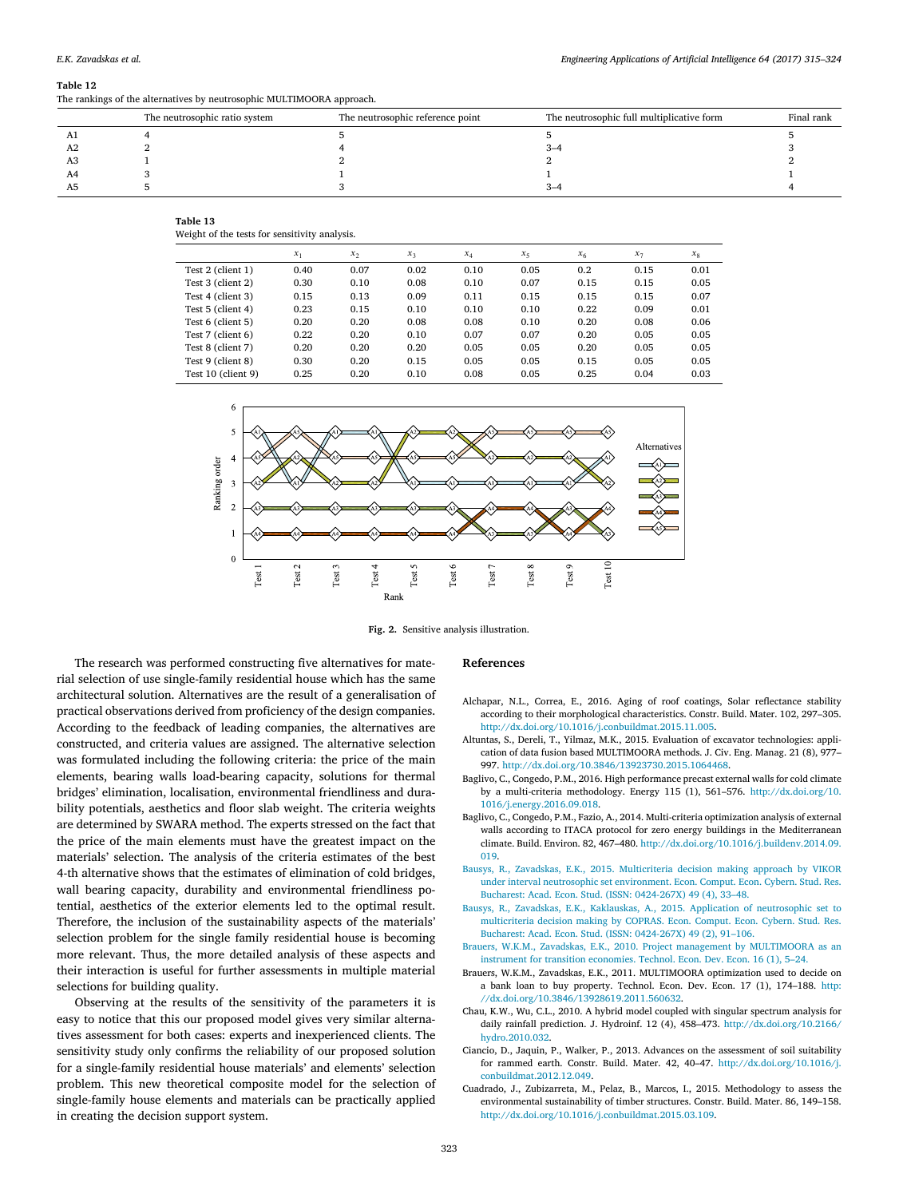<span id="page-8-11"></span>The rankings of the alternatives by neutrosophic MULTIMOORA approach.

|    | The neutrosophic ratio system | The neutrosophic reference point | The neutrosophic full multiplicative form | Final rank |
|----|-------------------------------|----------------------------------|-------------------------------------------|------------|
|    |                               |                                  |                                           |            |
| A2 |                               |                                  | 3–4                                       |            |
| A3 |                               |                                  |                                           |            |
| A4 |                               |                                  |                                           |            |
| A5 |                               |                                  | $3 - 4$                                   |            |

<span id="page-8-12"></span>

Weight of the tests for sensitivity analysis.

|                    | $x_1$ | $x_2$ | $x_3$ | $x_4$ | $x_{5}$ | x <sub>6</sub> | $x_7$ | $x_{8}$ |  |  |
|--------------------|-------|-------|-------|-------|---------|----------------|-------|---------|--|--|
| Test 2 (client 1)  | 0.40  | 0.07  | 0.02  | 0.10  | 0.05    | 0.2            | 0.15  | 0.01    |  |  |
| Test 3 (client 2)  | 0.30  | 0.10  | 0.08  | 0.10  | 0.07    | 0.15           | 0.15  | 0.05    |  |  |
| Test 4 (client 3)  | 0.15  | 0.13  | 0.09  | 0.11  | 0.15    | 0.15           | 0.15  | 0.07    |  |  |
| Test 5 (client 4)  | 0.23  | 0.15  | 0.10  | 0.10  | 0.10    | 0.22           | 0.09  | 0.01    |  |  |
| Test 6 (client 5)  | 0.20  | 0.20  | 0.08  | 0.08  | 0.10    | 0.20           | 0.08  | 0.06    |  |  |
| Test 7 (client 6)  | 0.22  | 0.20  | 0.10  | 0.07  | 0.07    | 0.20           | 0.05  | 0.05    |  |  |
| Test 8 (client 7)  | 0.20  | 0.20  | 0.20  | 0.05  | 0.05    | 0.20           | 0.05  | 0.05    |  |  |
| Test 9 (client 8)  | 0.30  | 0.20  | 0.15  | 0.05  | 0.05    | 0.15           | 0.05  | 0.05    |  |  |
| Test 10 (client 9) | 0.25  | 0.20  | 0.10  | 0.08  | 0.05    | 0.25           | 0.04  | 0.03    |  |  |

<span id="page-8-13"></span>

**Fig. 2.** Sensitive analysis illustration.

The research was performed constructing five alternatives for material selection of use single-family residential house which has the same architectural solution. Alternatives are the result of a generalisation of practical observations derived from proficiency of the design companies. According to the feedback of leading companies, the alternatives are constructed, and criteria values are assigned. The alternative selection was formulated including the following criteria: the price of the main elements, bearing walls load-bearing capacity, solutions for thermal bridges' elimination, localisation, environmental friendliness and durability potentials, aesthetics and floor slab weight. The criteria weights are determined by SWARA method. The experts stressed on the fact that the price of the main elements must have the greatest impact on the materials' selection. The analysis of the criteria estimates of the best 4-th alternative shows that the estimates of elimination of cold bridges, wall bearing capacity, durability and environmental friendliness potential, aesthetics of the exterior elements led to the optimal result. Therefore, the inclusion of the sustainability aspects of the materials' selection problem for the single family residential house is becoming more relevant. Thus, the more detailed analysis of these aspects and their interaction is useful for further assessments in multiple material selections for building quality.

Observing at the results of the sensitivity of the parameters it is easy to notice that this our proposed model gives very similar alternatives assessment for both cases: experts and inexperienced clients. The sensitivity study only confirms the reliability of our proposed solution for a single-family residential house materials' and elements' selection problem. This new theoretical composite model for the selection of single-family house elements and materials can be practically applied in creating the decision support system.

#### **References**

- <span id="page-8-4"></span>Alchapar, N.L., Correa, E., 2016. Aging of roof coatings, Solar reflectance stability according to their morphological characteristics. Constr. Build. Mater. 102, 297–305. [http://dx.doi.org/10.1016/j.conbuildmat.2015.11.005.](http://dx.doi.org/10.1016/j.conbuildmat.2015.11.005)
- <span id="page-8-6"></span>Altuntas, S., Dereli, T., Yilmaz, M.K., 2015. Evaluation of excavator technologies: application of data fusion based MULTIMOORA methods. J. Civ. Eng. Manag. 21 (8), 977– 997. [http://dx.doi.org/10.3846/13923730.2015.1064468.](http://dx.doi.org/10.3846/13923730.2015.1064468)
- <span id="page-8-9"></span>Baglivo, C., Congedo, P.M., 2016. High performance precast external walls for cold climate by a multi-criteria methodology. Energy 115 (1), 561–576. [http://dx.doi.org/10.](http://dx.doi.org/10.1016/j.energy.2016.09.018) [1016/j.energy.2016.09.018.](http://dx.doi.org/10.1016/j.energy.2016.09.018)
- <span id="page-8-0"></span>Baglivo, C., Congedo, P.M., Fazio, A., 2014. Multi-criteria optimization analysis of external walls according to ITACA protocol for zero energy buildings in the Mediterranean climate. Build. Environ. 82, 467–480. [http://dx.doi.org/10.1016/j.buildenv.2014.09.](http://dx.doi.org/10.1016/j.buildenv.2014.09.019) [019.](http://dx.doi.org/10.1016/j.buildenv.2014.09.019)
- <span id="page-8-8"></span>[B](http://refhub.elsevier.com/S0952-1976(17)30139-2/sb5)ausys, R., Zavadskas, E.K., [2015.](http://refhub.elsevier.com/S0952-1976(17)30139-2/sb5) [Multicriteria decision making approach by VIKOR](http://refhub.elsevier.com/S0952-1976(17)30139-2/sb5) [under interval neutrosophic set environment.](http://refhub.elsevier.com/S0952-1976(17)30139-2/sb5) [Econ. Comput. Econ. Cybern. Stud. Res.](http://refhub.elsevier.com/S0952-1976(17)30139-2/sb5) [Bucharest: Acad. Econ. Stud.](http://refhub.elsevier.com/S0952-1976(17)30139-2/sb5) [\(ISSN: 0424-267X\)](http://refhub.elsevier.com/S0952-1976(17)30139-2/sb5) [49 \(4\),](http://refhub.elsevier.com/S0952-1976(17)30139-2/sb5) [33–48.](http://refhub.elsevier.com/S0952-1976(17)30139-2/sb5)
- <span id="page-8-7"></span>[Bausys, R., Zavadskas, E.K., Kaklauskas, A.,](http://refhub.elsevier.com/S0952-1976(17)30139-2/sb6) [2015.](http://refhub.elsevier.com/S0952-1976(17)30139-2/sb6) [Application of neutrosophic set to](http://refhub.elsevier.com/S0952-1976(17)30139-2/sb6) [multicriteria decision making by COPRAS.](http://refhub.elsevier.com/S0952-1976(17)30139-2/sb6) [Econ. Comput. Econ. Cybern. Stud. Res.](http://refhub.elsevier.com/S0952-1976(17)30139-2/sb6) [Bucharest: Acad. Econ. Stud.](http://refhub.elsevier.com/S0952-1976(17)30139-2/sb6) [\(ISSN: 0424-267X\)](http://refhub.elsevier.com/S0952-1976(17)30139-2/sb6) [49 \(2\),](http://refhub.elsevier.com/S0952-1976(17)30139-2/sb6) [91–106.](http://refhub.elsevier.com/S0952-1976(17)30139-2/sb6)
- <span id="page-8-5"></span>[B](http://refhub.elsevier.com/S0952-1976(17)30139-2/sb7)rauers, W.K.M., Zavadskas, E.K., [2010.](http://refhub.elsevier.com/S0952-1976(17)30139-2/sb7) [Project management by MULTIMOORA as an](http://refhub.elsevier.com/S0952-1976(17)30139-2/sb7) [instrument for transition economies.](http://refhub.elsevier.com/S0952-1976(17)30139-2/sb7) [Technol. Econ. Dev. Econ.](http://refhub.elsevier.com/S0952-1976(17)30139-2/sb7) [16 \(1\),](http://refhub.elsevier.com/S0952-1976(17)30139-2/sb7) [5–24.](http://refhub.elsevier.com/S0952-1976(17)30139-2/sb7)
- <span id="page-8-10"></span>Brauers, W.K.M., Zavadskas, E.K., 2011. MULTIMOORA optimization used to decide on a bank loan to buy property. Technol. Econ. Dev. Econ. 17 (1), 174–188. [http:](http://dx.doi.org/10.3846/13928619.2011.560632) [//dx.doi.org/10.3846/13928619.2011.560632.](http://dx.doi.org/10.3846/13928619.2011.560632)
- <span id="page-8-2"></span>Chau, K.W., Wu, C.L., 2010. A hybrid model coupled with singular spectrum analysis for daily rainfall prediction. J. Hydroinf. 12 (4), 458–473. [http://dx.doi.org/10.2166/](http://dx.doi.org/10.2166/hydro.2010.032) [hydro.2010.032.](http://dx.doi.org/10.2166/hydro.2010.032)
- <span id="page-8-3"></span>Ciancio, D., Jaquin, P., Walker, P., 2013. Advances on the assessment of soil suitability for rammed earth. Constr. Build. Mater. 42, 40–47. [http://dx.doi.org/10.1016/j.](http://dx.doi.org/10.1016/j.conbuildmat.2012.12.049) [conbuildmat.2012.12.049.](http://dx.doi.org/10.1016/j.conbuildmat.2012.12.049)
- <span id="page-8-1"></span>Cuadrado, J., Zubizarreta, M., Pelaz, B., Marcos, I., 2015. Methodology to assess the environmental sustainability of timber structures. Constr. Build. Mater. 86, 149–158. [http://dx.doi.org/10.1016/j.conbuildmat.2015.03.109.](http://dx.doi.org/10.1016/j.conbuildmat.2015.03.109)